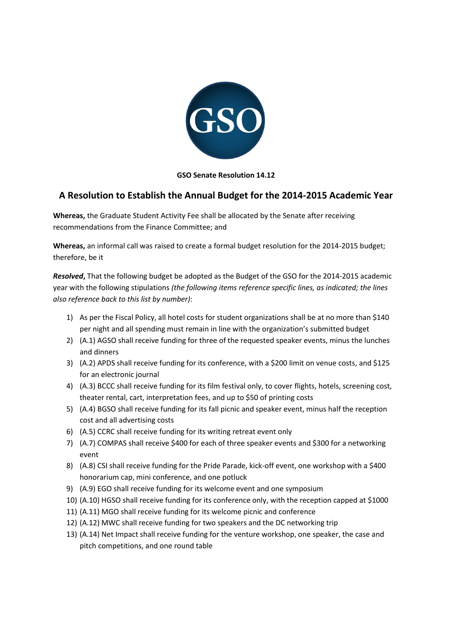

#### **GSO Senate Resolution 14.12**

## **A Resolution to Establish the Annual Budget for the 2014-2015 Academic Year**

**Whereas,** the Graduate Student Activity Fee shall be allocated by the Senate after receiving recommendations from the Finance Committee; and

**Whereas,** an informal call was raised to create a formal budget resolution for the 2014-2015 budget; therefore, be it

*Resolved***,** That the following budget be adopted as the Budget of the GSO for the 2014-2015 academic year with the following stipulations *(the following items reference specific lines, as indicated; the lines also reference back to this list by number)*:

- 1) As per the Fiscal Policy, all hotel costs for student organizations shall be at no more than \$140 per night and all spending must remain in line with the organization's submitted budget
- 2) (A.1) AGSO shall receive funding for three of the requested speaker events, minus the lunches and dinners
- 3) (A.2) APDS shall receive funding for its conference, with a \$200 limit on venue costs, and \$125 for an electronic journal
- 4) (A.3) BCCC shall receive funding for its film festival only, to cover flights, hotels, screening cost, theater rental, cart, interpretation fees, and up to \$50 of printing costs
- 5) (A.4) BGSO shall receive funding for its fall picnic and speaker event, minus half the reception cost and all advertising costs
- 6) (A.5) CCRC shall receive funding for its writing retreat event only
- 7) (A.7) COMPAS shall receive \$400 for each of three speaker events and \$300 for a networking event
- 8) (A.8) CSI shall receive funding for the Pride Parade, kick-off event, one workshop with a \$400 honorarium cap, mini conference, and one potluck
- 9) (A.9) EGO shall receive funding for its welcome event and one symposium
- 10) (A.10) HGSO shall receive funding for its conference only, with the reception capped at \$1000
- 11) (A.11) MGO shall receive funding for its welcome picnic and conference
- 12) (A.12) MWC shall receive funding for two speakers and the DC networking trip
- 13) (A.14) Net Impact shall receive funding for the venture workshop, one speaker, the case and pitch competitions, and one round table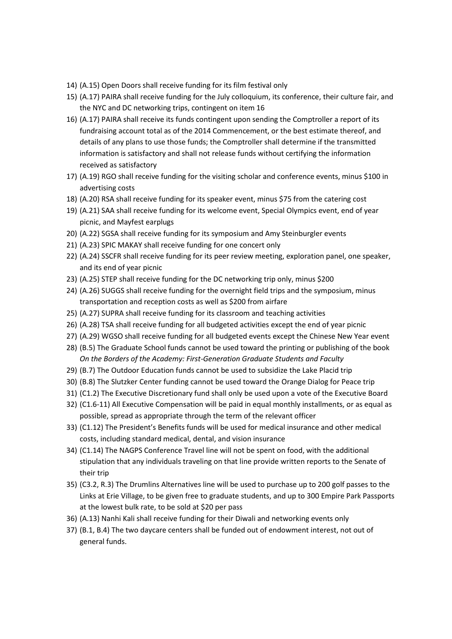- 14) (A.15) Open Doors shall receive funding for its film festival only
- 15) (A.17) PAIRA shall receive funding for the July colloquium, its conference, their culture fair, and the NYC and DC networking trips, contingent on item 16
- 16) (A.17) PAIRA shall receive its funds contingent upon sending the Comptroller a report of its fundraising account total as of the 2014 Commencement, or the best estimate thereof, and details of any plans to use those funds; the Comptroller shall determine if the transmitted information is satisfactory and shall not release funds without certifying the information received as satisfactory
- 17) (A.19) RGO shall receive funding for the visiting scholar and conference events, minus \$100 in advertising costs
- 18) (A.20) RSA shall receive funding for its speaker event, minus \$75 from the catering cost
- 19) (A.21) SAA shall receive funding for its welcome event, Special Olympics event, end of year picnic, and Mayfest earplugs
- 20) (A.22) SGSA shall receive funding for its symposium and Amy Steinburgler events
- 21) (A.23) SPIC MAKAY shall receive funding for one concert only
- 22) (A.24) SSCFR shall receive funding for its peer review meeting, exploration panel, one speaker, and its end of year picnic
- 23) (A.25) STEP shall receive funding for the DC networking trip only, minus \$200
- 24) (A.26) SUGGS shall receive funding for the overnight field trips and the symposium, minus transportation and reception costs as well as \$200 from airfare
- 25) (A.27) SUPRA shall receive funding for its classroom and teaching activities
- 26) (A.28) TSA shall receive funding for all budgeted activities except the end of year picnic
- 27) (A.29) WGSO shall receive funding for all budgeted events except the Chinese New Year event
- 28) (B.5) The Graduate School funds cannot be used toward the printing or publishing of the book *On the Borders of the Academy: First-Generation Graduate Students and Faculty*
- 29) (B.7) The Outdoor Education funds cannot be used to subsidize the Lake Placid trip
- 30) (B.8) The Slutzker Center funding cannot be used toward the Orange Dialog for Peace trip
- 31) (C1.2) The Executive Discretionary fund shall only be used upon a vote of the Executive Board
- 32) (C1.6-11) All Executive Compensation will be paid in equal monthly installments, or as equal as possible, spread as appropriate through the term of the relevant officer
- 33) (C1.12) The President's Benefits funds will be used for medical insurance and other medical costs, including standard medical, dental, and vision insurance
- 34) (C1.14) The NAGPS Conference Travel line will not be spent on food, with the additional stipulation that any individuals traveling on that line provide written reports to the Senate of their trip
- 35) (C3.2, R.3) The Drumlins Alternatives line will be used to purchase up to 200 golf passes to the Links at Erie Village, to be given free to graduate students, and up to 300 Empire Park Passports at the lowest bulk rate, to be sold at \$20 per pass
- 36) (A.13) Nanhi Kali shall receive funding for their Diwali and networking events only
- 37) (B.1, B.4) The two daycare centers shall be funded out of endowment interest, not out of general funds.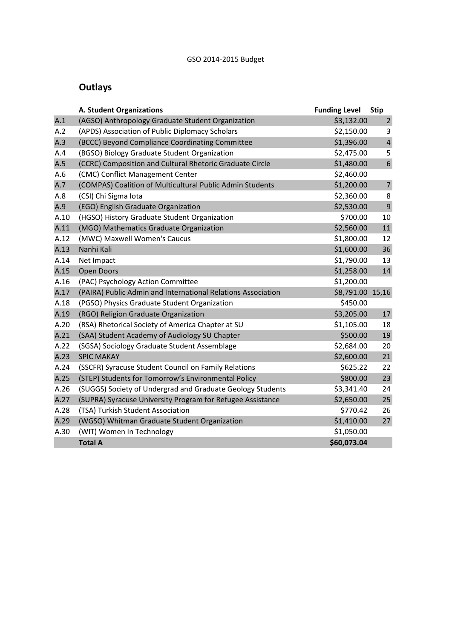## GSO 2014-2015 Budget

# **Outlays**

|      | <b>A. Student Organizations</b>                              | <b>Funding Level</b> | <b>Stip</b>    |
|------|--------------------------------------------------------------|----------------------|----------------|
| A.1  | (AGSO) Anthropology Graduate Student Organization            | \$3,132.00           | $\overline{2}$ |
| A.2  | (APDS) Association of Public Diplomacy Scholars              | \$2,150.00           | 3              |
| A.3  | (BCCC) Beyond Compliance Coordinating Committee              | \$1,396.00           | $\overline{4}$ |
| A.4  | (BGSO) Biology Graduate Student Organization                 | \$2,475.00           | 5              |
| A.5  | (CCRC) Composition and Cultural Rhetoric Graduate Circle     | \$1,480.00           | $\sqrt{6}$     |
| A.6  | (CMC) Conflict Management Center                             | \$2,460.00           |                |
| A.7  | (COMPAS) Coalition of Multicultural Public Admin Students    | \$1,200.00           | $\overline{7}$ |
| A.8  | (CSI) Chi Sigma Iota                                         | \$2,360.00           | 8              |
| A.9  | (EGO) English Graduate Organization                          | \$2,530.00           | 9              |
| A.10 | (HGSO) History Graduate Student Organization                 | \$700.00             | 10             |
| A.11 | (MGO) Mathematics Graduate Organization                      | \$2,560.00           | 11             |
| A.12 | (MWC) Maxwell Women's Caucus                                 | \$1,800.00           | 12             |
| A.13 | Nanhi Kali                                                   | \$1,600.00           | 36             |
| A.14 | Net Impact                                                   | \$1,790.00           | 13             |
| A.15 | <b>Open Doors</b>                                            | \$1,258.00           | 14             |
| A.16 | (PAC) Psychology Action Committee                            | \$1,200.00           |                |
| A.17 | (PAIRA) Public Admin and International Relations Association | \$8,791.00 15,16     |                |
| A.18 | (PGSO) Physics Graduate Student Organization                 | \$450.00             |                |
| A.19 | (RGO) Religion Graduate Organization                         | \$3,205.00           | 17             |
| A.20 | (RSA) Rhetorical Society of America Chapter at SU            | \$1,105.00           | 18             |
| A.21 | (SAA) Student Academy of Audiology SU Chapter                | \$500.00             | 19             |
| A.22 | (SGSA) Sociology Graduate Student Assemblage                 | \$2,684.00           | 20             |
| A.23 | <b>SPIC MAKAY</b>                                            | \$2,600.00           | 21             |
| A.24 | (SSCFR) Syracuse Student Council on Family Relations         | \$625.22             | 22             |
| A.25 | (STEP) Students for Tomorrow's Environmental Policy          | \$800.00             | 23             |
| A.26 | (SUGGS) Society of Undergrad and Graduate Geology Students   | \$3,341.40           | 24             |
| A.27 | (SUPRA) Syracuse University Program for Refugee Assistance   | \$2,650.00           | 25             |
| A.28 | (TSA) Turkish Student Association                            | \$770.42             | 26             |
| A.29 | (WGSO) Whitman Graduate Student Organization                 | \$1,410.00           | 27             |
| A.30 | (WIT) Women In Technology                                    | \$1,050.00           |                |
|      | <b>Total A</b>                                               | \$60,073.04          |                |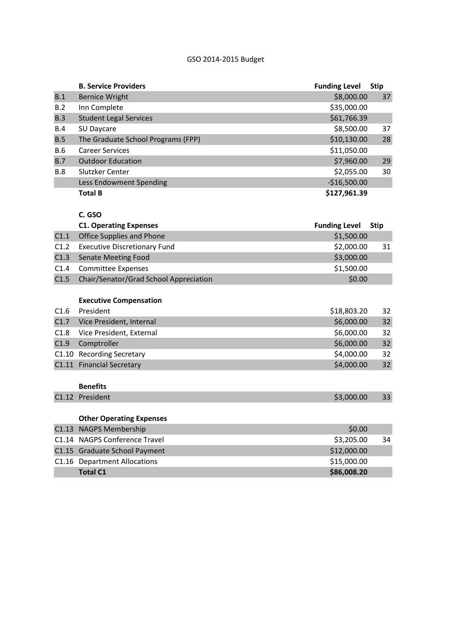## GSO 2014-2015 Budget

|            | <b>B. Service Providers</b>            | <b>Funding Level</b> | <b>Stip</b> |
|------------|----------------------------------------|----------------------|-------------|
| B.1        | <b>Bernice Wright</b>                  | \$8,000.00           | 37          |
| B.2        | Inn Complete                           | \$35,000.00          |             |
| B.3        | <b>Student Legal Services</b>          | \$61,766.39          |             |
| B.4        | SU Daycare                             | \$8,500.00           | 37          |
| B.5        | The Graduate School Programs (FPP)     | \$10,130.00          | 28          |
| B.6        | <b>Career Services</b>                 | \$11,050.00          |             |
| B.7        | <b>Outdoor Education</b>               | \$7,960.00           | 29          |
| <b>B.8</b> | Slutzker Center                        | \$2,055.00           | 30          |
|            | Less Endowment Spending                | $-$16,500.00$        |             |
|            | <b>Total B</b>                         | \$127,961.39         |             |
|            |                                        |                      |             |
|            | C. GSO                                 |                      |             |
|            | <b>C1. Operating Expenses</b>          | <b>Funding Level</b> | <b>Stip</b> |
| C1.1       | <b>Office Supplies and Phone</b>       | \$1,500.00           |             |
| C1.2       | <b>Executive Discretionary Fund</b>    | \$2,000.00           | 31          |
| C1.3       | <b>Senate Meeting Food</b>             | \$3,000.00           |             |
| C1.4       | <b>Committee Expenses</b>              | \$1,500.00           |             |
| C1.5       | Chair/Senator/Grad School Appreciation | \$0.00               |             |
|            |                                        |                      |             |
|            | <b>Executive Compensation</b>          |                      |             |
| C1.6       | President                              | \$18,803.20          | 32          |
| C1.7       | Vice President, Internal               | \$6,000.00           | 32          |
| C1.8       | Vice President, External               | \$6,000.00           | 32          |
| C1.9       | Comptroller                            | \$6,000.00           | 32          |
|            | C1.10 Recording Secretary              | \$4,000.00           | 32          |
|            | C1.11 Financial Secretary              | \$4,000.00           | 32          |
|            |                                        |                      |             |
|            | <b>Benefits</b>                        |                      |             |
|            | C1.12 President                        | \$3,000.00           | 33          |
|            |                                        |                      |             |
|            | <b>Other Operating Expenses</b>        |                      |             |
|            | C1.13 NAGPS Membership                 | \$0.00               |             |
|            | C1.14 NAGPS Conference Travel          | \$3,205.00           | 34          |
|            | C1.15 Graduate School Payment          | \$12,000.00          |             |

C1.16 Department Allocations \$15,000.00<br>
Total C1

**Total C1 \$86,008.20**